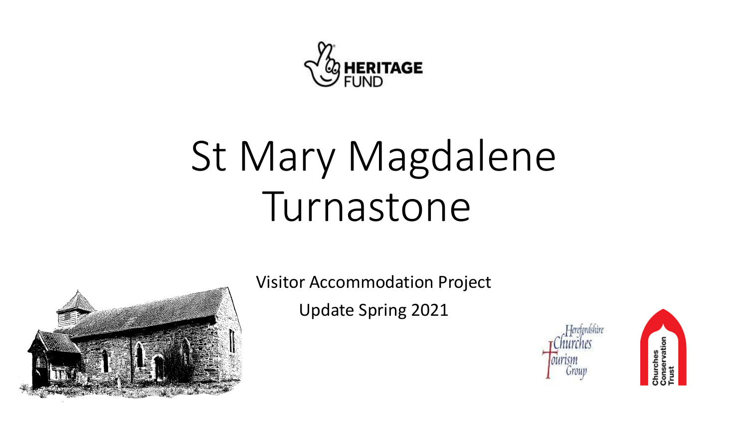

# St Mary Magdalene Turnastone



Visitor Accommodation Project

Update Spring 2021



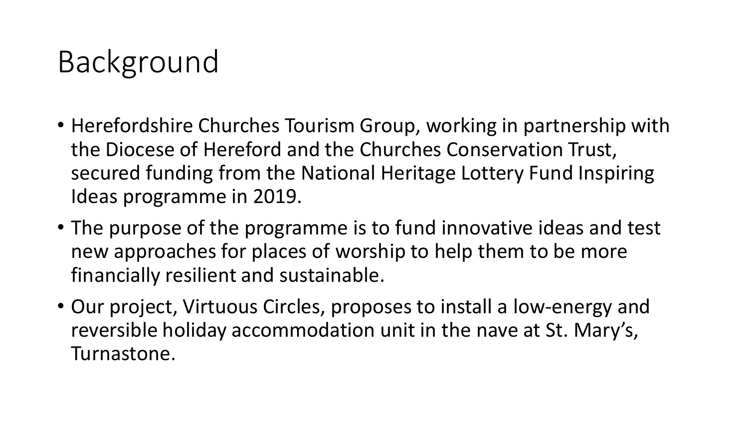## Background

- Herefordshire Churches Tourism Group, working in partnership with the Diocese of Hereford and the Churches Conservation Trust, secured funding from the National Heritage Lottery Fund Inspiring Ideas programme in 2019.
- The purpose of the programme is to fund innovative ideas and test new approaches for places of worship to help them to be more financially resilient and sustainable.
- Our project, Virtuous Circles, proposes to install a low-energy and reversible holiday accommodation unit in the nave at St. Mary's, Turnastone.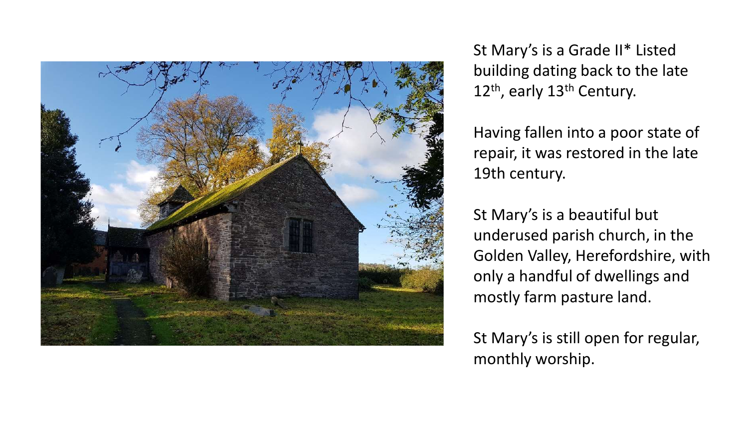

St Mary's is a Grade II\* Listed building dating back to the late 12<sup>th</sup>, early 13<sup>th</sup> Century.

Having fallen into a poor state of repair, it was restored in the late 19th century.

St Mary's is a beautiful but underused parish church, in the Golden Valley, Herefordshire, with only a handful of dwellings and mostly farm pasture land.

St Mary's is still open for regular, monthly worship.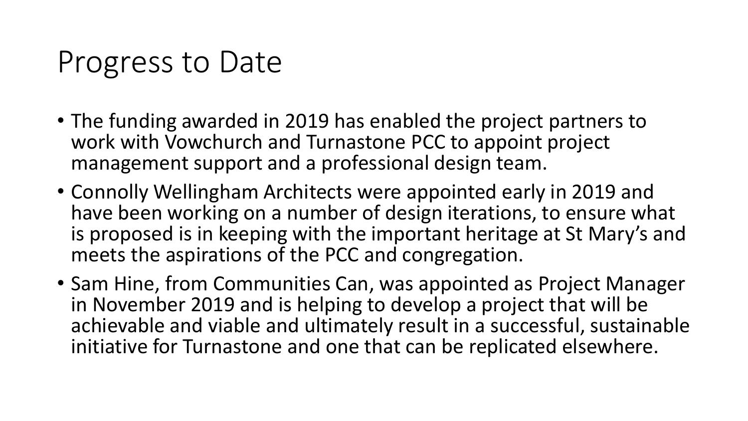#### Progress to Date

- The funding awarded in 2019 has enabled the project partners to work with Vowchurch and Turnastone PCC to appoint project management support and a professional design team.
- Connolly Wellingham Architects were appointed early in 2019 and have been working on a number of design iterations, to ensure what is proposed is in keeping with the important heritage at St Mary's and meets the aspirations of the PCC and congregation.
- Sam Hine, from Communities Can, was appointed as Project Manager in November 2019 and is helping to develop a project that will be achievable and viable and ultimately result in a successful, sustainable initiative for Turnastone and one that can be replicated elsewhere.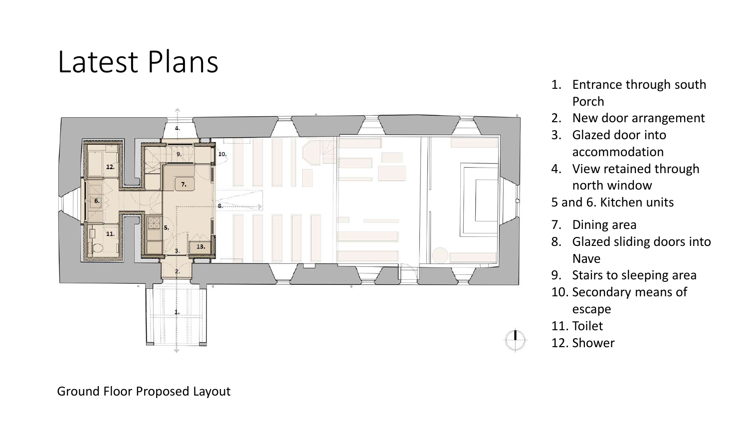#### Latest Plans



- 1. Entrance through south Porch
- 2. New door arrangement
- 3. Glazed door into accommodation
- 4. View retained through north window
- 5 and 6. Kitchen units
- 7. Dining area
- 8. Glazed sliding doors into Nave
- 9. Stairs to sleeping area
- 10. Secondary means of

escape

11. Toilet



12. Shower

Ground Floor Proposed Layout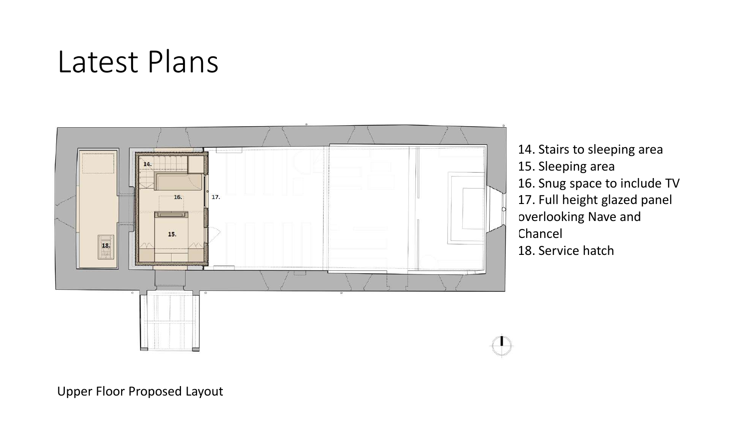#### Latest Plans



14. Stairs to sleeping area 15. Sleeping area 16. Snug space to include TV 17. Full height glazed panel overlooking Nave and Chancel 18. Service hatch

Upper Floor Proposed Layout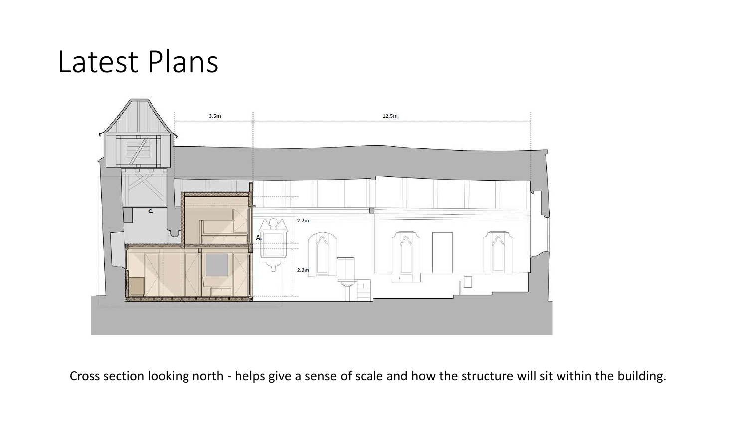#### Latest Plans



Cross section looking north - helps give a sense of scale and how the structure will sit within the building.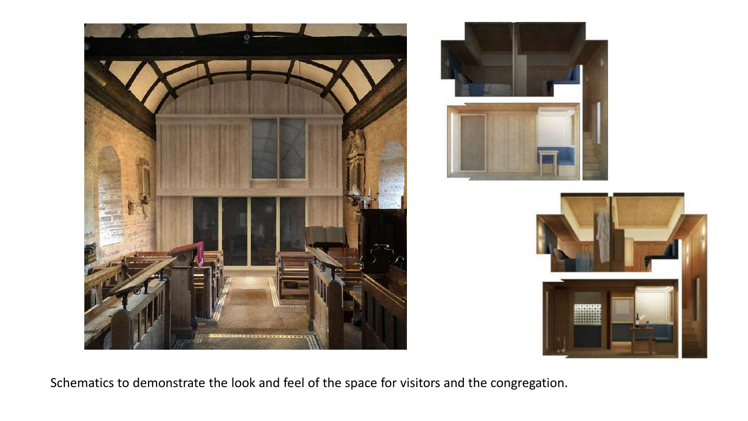



Schematics to demonstrate the look and feel of the space for visitors and the congregation.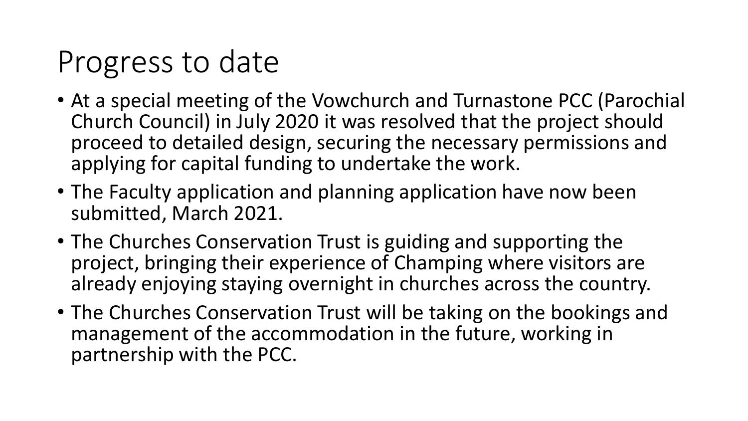## Progress to date

- At a special meeting of the Vowchurch and Turnastone PCC (Parochial Church Council) in July 2020 it was resolved that the project should proceed to detailed design, securing the necessary permissions and applying for capital funding to undertake the work.
- The Faculty application and planning application have now been submitted, March 2021.
- The Churches Conservation Trust is guiding and supporting the project, bringing their experience of Champing where visitors are already enjoying staying overnight in churches across the country.
- The Churches Conservation Trust will be taking on the bookings and management of the accommodation in the future, working in partnership with the PCC.